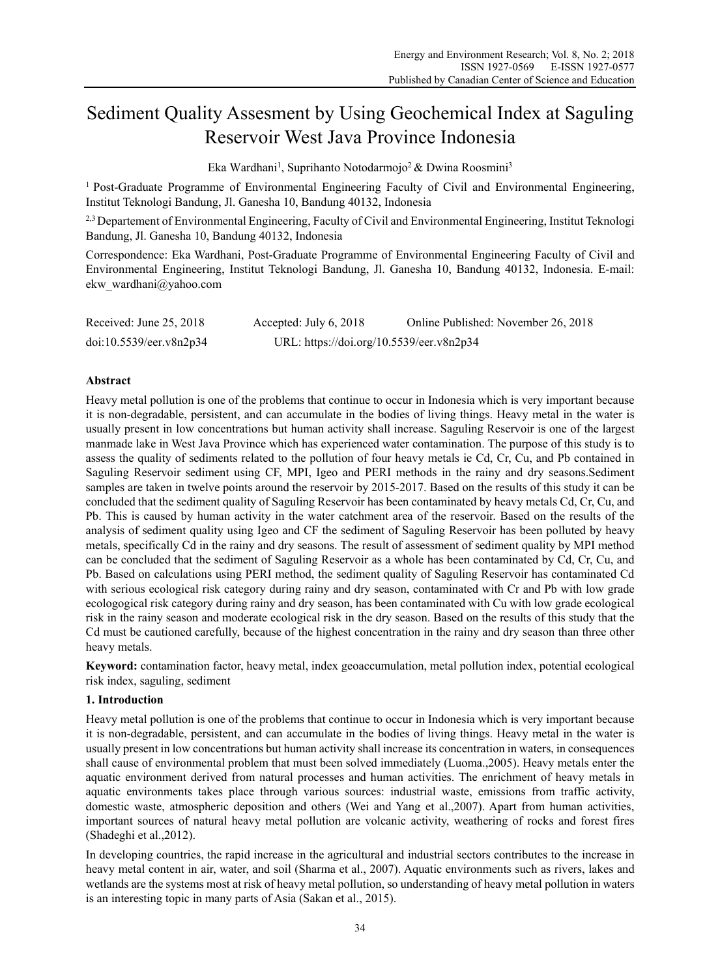# Sediment Quality Assesment by Using Geochemical Index at Saguling Reservoir West Java Province Indonesia

Eka Wardhani<sup>1</sup>, Suprihanto Notodarmojo<sup>2</sup> & Dwina Roosmini<sup>3</sup>

1 Post-Graduate Programme of Environmental Engineering Faculty of Civil and Environmental Engineering, Institut Teknologi Bandung, Jl. Ganesha 10, Bandung 40132, Indonesia

<sup>2,3</sup> Departement of Environmental Engineering, Faculty of Civil and Environmental Engineering, Institut Teknologi Bandung, Jl. Ganesha 10, Bandung 40132, Indonesia

Correspondence: Eka Wardhani, Post-Graduate Programme of Environmental Engineering Faculty of Civil and Environmental Engineering, Institut Teknologi Bandung, Jl. Ganesha 10, Bandung 40132, Indonesia. E-mail: ekw\_wardhani@yahoo.com

| Received: June 25, 2018 | Accepted: July 6, 2018                   | Online Published: November 26, 2018 |
|-------------------------|------------------------------------------|-------------------------------------|
| doi:10.5539/eer.v8n2p34 | URL: https://doi.org/10.5539/eer.v8n2p34 |                                     |

# **Abstract**

Heavy metal pollution is one of the problems that continue to occur in Indonesia which is very important because it is non-degradable, persistent, and can accumulate in the bodies of living things. Heavy metal in the water is usually present in low concentrations but human activity shall increase. Saguling Reservoir is one of the largest manmade lake in West Java Province which has experienced water contamination. The purpose of this study is to assess the quality of sediments related to the pollution of four heavy metals ie Cd, Cr, Cu, and Pb contained in Saguling Reservoir sediment using CF, MPI, Igeo and PERI methods in the rainy and dry seasons.Sediment samples are taken in twelve points around the reservoir by 2015-2017. Based on the results of this study it can be concluded that the sediment quality of Saguling Reservoir has been contaminated by heavy metals Cd, Cr, Cu, and Pb. This is caused by human activity in the water catchment area of the reservoir. Based on the results of the analysis of sediment quality using Igeo and CF the sediment of Saguling Reservoir has been polluted by heavy metals, specifically Cd in the rainy and dry seasons. The result of assessment of sediment quality by MPI method can be concluded that the sediment of Saguling Reservoir as a whole has been contaminated by Cd, Cr, Cu, and Pb. Based on calculations using PERI method, the sediment quality of Saguling Reservoir has contaminated Cd with serious ecological risk category during rainy and dry season, contaminated with Cr and Pb with low grade ecologogical risk category during rainy and dry season, has been contaminated with Cu with low grade ecological risk in the rainy season and moderate ecological risk in the dry season. Based on the results of this study that the Cd must be cautioned carefully, because of the highest concentration in the rainy and dry season than three other heavy metals.

**Keyword:** contamination factor, heavy metal, index geoaccumulation, metal pollution index, potential ecological risk index, saguling, sediment

# **1. Introduction**

Heavy metal pollution is one of the problems that continue to occur in Indonesia which is very important because it is non-degradable, persistent, and can accumulate in the bodies of living things. Heavy metal in the water is usually present in low concentrations but human activity shall increase its concentration in waters, in consequences shall cause of environmental problem that must been solved immediately (Luoma.,2005). Heavy metals enter the aquatic environment derived from natural processes and human activities. The enrichment of heavy metals in aquatic environments takes place through various sources: industrial waste, emissions from traffic activity, domestic waste, atmospheric deposition and others (Wei and Yang et al.,2007). Apart from human activities, important sources of natural heavy metal pollution are volcanic activity, weathering of rocks and forest fires (Shadeghi et al.,2012).

In developing countries, the rapid increase in the agricultural and industrial sectors contributes to the increase in heavy metal content in air, water, and soil (Sharma et al., 2007). Aquatic environments such as rivers, lakes and wetlands are the systems most at risk of heavy metal pollution, so understanding of heavy metal pollution in waters is an interesting topic in many parts of Asia (Sakan et al., 2015).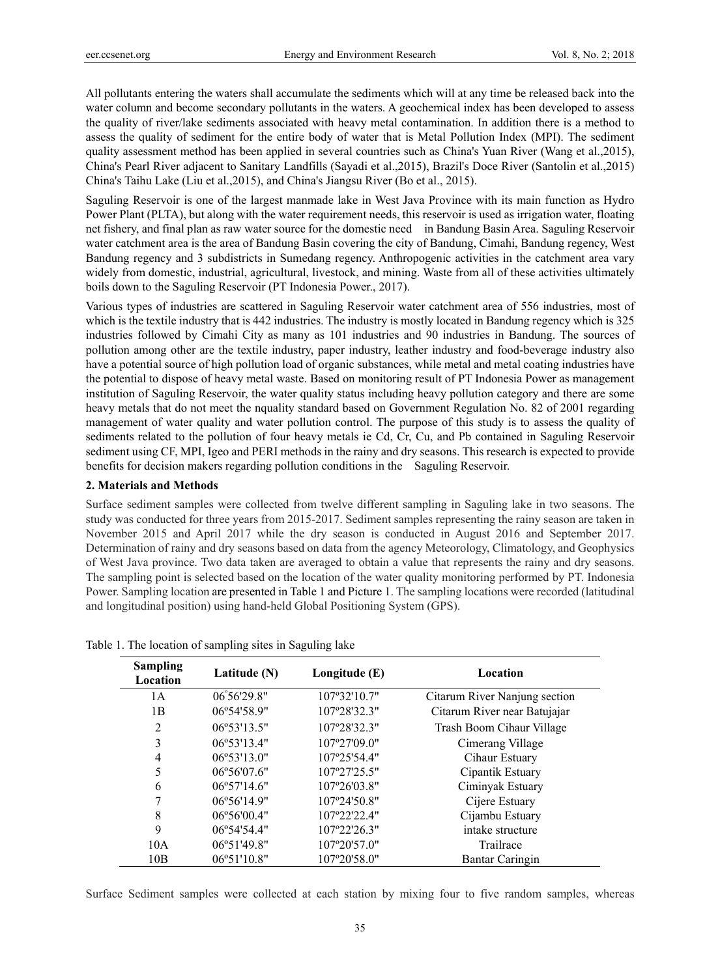All pollutants entering the waters shall accumulate the sediments which will at any time be released back into the water column and become secondary pollutants in the waters. A geochemical index has been developed to assess the quality of river/lake sediments associated with heavy metal contamination. In addition there is a method to assess the quality of sediment for the entire body of water that is Metal Pollution Index (MPI). The sediment quality assessment method has been applied in several countries such as China's Yuan River (Wang et al.,2015), China's Pearl River adjacent to Sanitary Landfills (Sayadi et al.,2015), Brazil's Doce River (Santolin et al.,2015) China's Taihu Lake (Liu et al.,2015), and China's Jiangsu River (Bo et al., 2015).

Saguling Reservoir is one of the largest manmade lake in West Java Province with its main function as Hydro Power Plant (PLTA), but along with the water requirement needs, this reservoir is used as irrigation water, floating net fishery, and final plan as raw water source for the domestic need in Bandung Basin Area. Saguling Reservoir water catchment area is the area of Bandung Basin covering the city of Bandung, Cimahi, Bandung regency, West Bandung regency and 3 subdistricts in Sumedang regency. Anthropogenic activities in the catchment area vary widely from domestic, industrial, agricultural, livestock, and mining. Waste from all of these activities ultimately boils down to the Saguling Reservoir (PT Indonesia Power., 2017).

Various types of industries are scattered in Saguling Reservoir water catchment area of 556 industries, most of which is the textile industry that is 442 industries. The industry is mostly located in Bandung regency which is 325 industries followed by Cimahi City as many as 101 industries and 90 industries in Bandung. The sources of pollution among other are the textile industry, paper industry, leather industry and food-beverage industry also have a potential source of high pollution load of organic substances, while metal and metal coating industries have the potential to dispose of heavy metal waste. Based on monitoring result of PT Indonesia Power as management institution of Saguling Reservoir, the water quality status including heavy pollution category and there are some heavy metals that do not meet the nquality standard based on Government Regulation No. 82 of 2001 regarding management of water quality and water pollution control. The purpose of this study is to assess the quality of sediments related to the pollution of four heavy metals ie Cd, Cr, Cu, and Pb contained in Saguling Reservoir sediment using CF, MPI, Igeo and PERI methods in the rainy and dry seasons. This research is expected to provide benefits for decision makers regarding pollution conditions in the Saguling Reservoir.

#### **2. Materials and Methods**

Surface sediment samples were collected from twelve different sampling in Saguling lake in two seasons. The study was conducted for three years from 2015-2017. Sediment samples representing the rainy season are taken in November 2015 and April 2017 while the dry season is conducted in August 2016 and September 2017. Determination of rainy and dry seasons based on data from the agency Meteorology, Climatology, and Geophysics of West Java province. Two data taken are averaged to obtain a value that represents the rainy and dry seasons. The sampling point is selected based on the location of the water quality monitoring performed by PT. Indonesia Power. Sampling location are presented in Table 1 and Picture 1. The sampling locations were recorded (latitudinal and longitudinal position) using hand-held Global Positioning System (GPS).

| <b>Sampling</b><br>Location | Latitude $(N)$               | Longitude $(E)$ | Location                      |
|-----------------------------|------------------------------|-----------------|-------------------------------|
| 1 A                         | $06^{\circ}56'29.8"$         | 107°32'10.7"    | Citarum River Nanjung section |
| 1B                          | $06^{\circ}54'58.9"$         | 107°28'32.3"    | Citarum River near Batujajar  |
| $\mathfrak{D}$              | $06^{\circ}53'13.5"$         | 107°28'32.3"    | Trash Boom Cihaur Village     |
| 3                           | 06°53'13.4"                  | 107°27'09.0"    | Cimerang Village              |
| 4                           | $06^{\circ}53'13.0"$         | 107°25'54.4"    | Cihaur Estuary                |
| 5                           | 06°56'07.6"                  | 107°27'25.5"    | Cipantik Estuary              |
| 6                           | $06^{\circ}57'14.6"$         | 107°26'03.8"    | Ciminyak Estuary              |
| 7                           | $06^{\circ}56'14.9"$         | 107°24'50.8"    | Cijere Estuary                |
| 8                           | $06^{\circ}56'00.4"$         | 107°22'22.4"    | Cijambu Estuary               |
| 9                           | $06^{\circ}54^{\prime}54.4"$ | 107°22'26.3"    | intake structure              |
| 10A                         | 06°51'49.8"                  | 107°20'57.0"    | Trailrace                     |
| 10B                         | $06^{\circ}51'10.8"$         | 107°20'58.0"    | Bantar Caringin               |

Table 1. The location of sampling sites in Saguling lake

Surface Sediment samples were collected at each station by mixing four to five random samples, whereas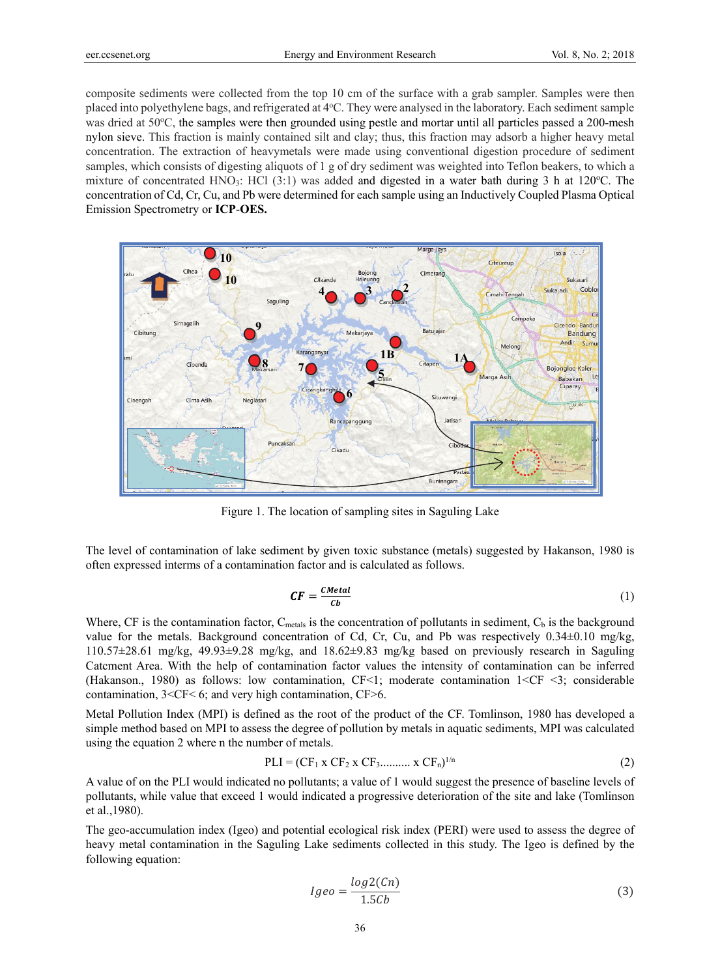composite sediments were collected from the top 10 cm of the surface with a grab sampler. Samples were then placed into polyethylene bags, and refrigerated at 4°C. They were analysed in the laboratory. Each sediment sample was dried at 50°C, the samples were then grounded using pestle and mortar until all particles passed a 200-mesh nylon sieve. This fraction is mainly contained silt and clay; thus, this fraction may adsorb a higher heavy metal concentration. The extraction of heavymetals were made using conventional digestion procedure of sediment samples, which consists of digesting aliquots of 1 g of dry sediment was weighted into Teflon beakers, to which a mixture of concentrated HNO<sub>3</sub>: HCl (3:1) was added and digested in a water bath during 3 h at 120°C. The concentration of Cd, Cr, Cu, and Pb were determined for each sample using an Inductively Coupled Plasma Optical Emission Spectrometry or **ICP**-**OES.** 



Figure 1. The location of sampling sites in Saguling Lake

The level of contamination of lake sediment by given toxic substance (metals) suggested by Hakanson, 1980 is often expressed interms of a contamination factor and is calculated as follows.

$$
CF = \frac{CMetal}{Cb} \tag{1}
$$

Where, CF is the contamination factor,  $C_{\text{metals}}$  is the concentration of pollutants in sediment,  $C_{\text{b}}$  is the background value for the metals. Background concentration of Cd, Cr, Cu, and Pb was respectively 0.34±0.10 mg/kg, 110.57±28.61 mg/kg, 49.93±9.28 mg/kg, and 18.62±9.83 mg/kg based on previously research in Saguling Catcment Area. With the help of contamination factor values the intensity of contamination can be inferred (Hakanson., 1980) as follows: low contamination, CF<1; moderate contamination 1<CF <3; considerable contamination, 3<CF< 6; and very high contamination, CF>6.

Metal Pollution Index (MPI) is defined as the root of the product of the CF. Tomlinson, 1980 has developed a simple method based on MPI to assess the degree of pollution by metals in aquatic sediments, MPI was calculated using the equation 2 where n the number of metals.

$$
PLI = (CF_1 \times CF_2 \times CF_3 \dots \dots \times CF_n)^{1/n}
$$
 (2)

A value of on the PLI would indicated no pollutants; a value of 1 would suggest the presence of baseline levels of pollutants, while value that exceed 1 would indicated a progressive deterioration of the site and lake (Tomlinson et al.,1980).

The geo-accumulation index (Igeo) and potential ecological risk index (PERI) were used to assess the degree of heavy metal contamination in the Saguling Lake sediments collected in this study. The Igeo is defined by the following equation:

$$
Igeo = \frac{log2(Cn)}{1.5Cb} \tag{3}
$$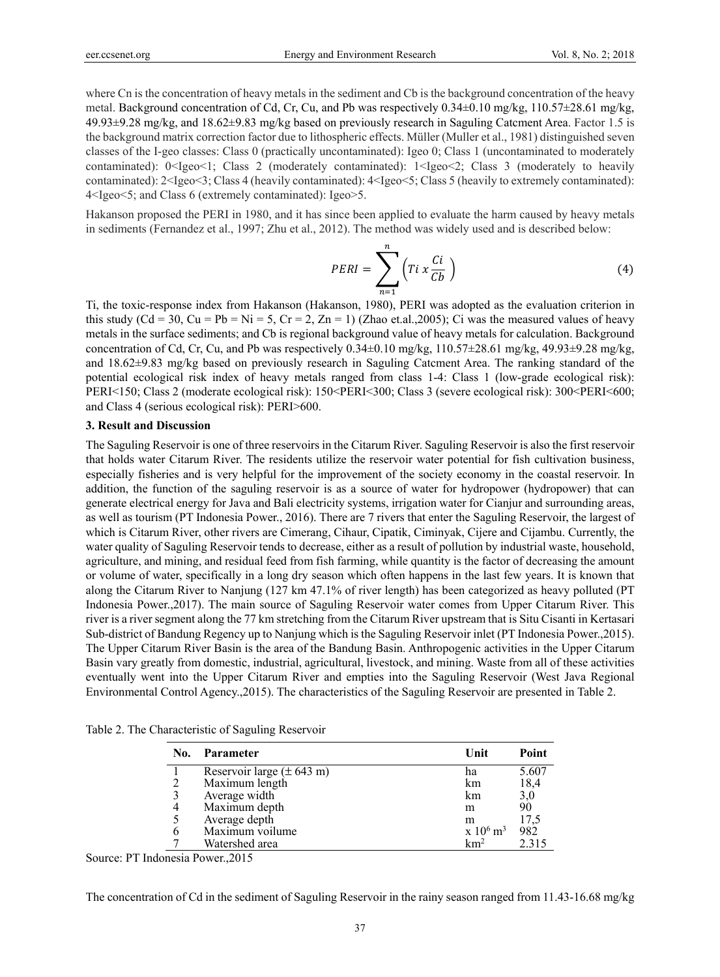where Cn is the concentration of heavy metals in the sediment and Cb is the background concentration of the heavy metal. Background concentration of Cd, Cr, Cu, and Pb was respectively 0.34±0.10 mg/kg, 110.57±28.61 mg/kg, 49.93±9.28 mg/kg, and 18.62±9.83 mg/kg based on previously research in Saguling Catcment Area. Factor 1.5 is the background matrix correction factor due to lithospheric effects. Müller (Muller et al., 1981) distinguished seven classes of the I-geo classes: Class 0 (practically uncontaminated): Igeo 0; Class 1 (uncontaminated to moderately contaminated): 0<Igeo<1; Class 2 (moderately contaminated): 1<Igeo<2; Class 3 (moderately to heavily contaminated): 2<Igeo<3; Class 4 (heavily contaminated): 4<Igeo<5; Class 5 (heavily to extremely contaminated): 4<Igeo<5; and Class 6 (extremely contaminated): Igeo>5.

Hakanson proposed the PERI in 1980, and it has since been applied to evaluate the harm caused by heavy metals in sediments (Fernandez et al., 1997; Zhu et al., 2012). The method was widely used and is described below:

$$
PERI = \sum_{n=1}^{n} \left( Ti \times \frac{Ci}{Cb} \right)
$$
 (4)

Ti, the toxic-response index from Hakanson (Hakanson, 1980), PERI was adopted as the evaluation criterion in this study  $(Cd = 30, Cu = Pb = Ni = 5, Cr = 2, Zn = 1)$  (Zhao et.al., 2005); Ci was the measured values of heavy metals in the surface sediments; and Cb is regional background value of heavy metals for calculation. Background concentration of Cd, Cr, Cu, and Pb was respectively 0.34±0.10 mg/kg, 110.57±28.61 mg/kg, 49.93±9.28 mg/kg, and 18.62±9.83 mg/kg based on previously research in Saguling Catcment Area. The ranking standard of the potential ecological risk index of heavy metals ranged from class 1-4: Class 1 (low-grade ecological risk): PERI<150; Class 2 (moderate ecological risk): 150<PERI<300; Class 3 (severe ecological risk): 300<PERI<600; and Class 4 (serious ecological risk): PERI>600.

#### **3. Result and Discussion**

The Saguling Reservoir is one of three reservoirs in the Citarum River. Saguling Reservoir is also the first reservoir that holds water Citarum River. The residents utilize the reservoir water potential for fish cultivation business, especially fisheries and is very helpful for the improvement of the society economy in the coastal reservoir. In addition, the function of the saguling reservoir is as a source of water for hydropower (hydropower) that can generate electrical energy for Java and Bali electricity systems, irrigation water for Cianjur and surrounding areas, as well as tourism (PT Indonesia Power., 2016). There are 7 rivers that enter the Saguling Reservoir, the largest of which is Citarum River, other rivers are Cimerang, Cihaur, Cipatik, Ciminyak, Cijere and Cijambu. Currently, the water quality of Saguling Reservoir tends to decrease, either as a result of pollution by industrial waste, household, agriculture, and mining, and residual feed from fish farming, while quantity is the factor of decreasing the amount or volume of water, specifically in a long dry season which often happens in the last few years. It is known that along the Citarum River to Nanjung (127 km 47.1% of river length) has been categorized as heavy polluted (PT Indonesia Power.,2017). The main source of Saguling Reservoir water comes from Upper Citarum River. This river is a river segment along the 77 km stretching from the Citarum River upstream that is Situ Cisanti in Kertasari Sub-district of Bandung Regency up to Nanjung which is the Saguling Reservoir inlet (PT Indonesia Power.,2015). The Upper Citarum River Basin is the area of the Bandung Basin. Anthropogenic activities in the Upper Citarum Basin vary greatly from domestic, industrial, agricultural, livestock, and mining. Waste from all of these activities eventually went into the Upper Citarum River and empties into the Saguling Reservoir (West Java Regional Environmental Control Agency.,2015). The characteristics of the Saguling Reservoir are presented in Table 2.

| No. | Parameter                             | Unit                      | Point |
|-----|---------------------------------------|---------------------------|-------|
|     | Reservoir large $(\pm 643 \text{ m})$ | ha                        | 5.607 |
| 2   | Maximum length                        | km                        | 18,4  |
| 3   | Average width                         | km                        | 3,0   |
| 4   | Maximum depth                         | m                         | 90    |
| 5   | Average depth                         | m                         | 17,5  |
| 6   | Maximum voilume                       | $x\ 10^6\$ m <sup>3</sup> | 982   |
|     | Watershed area                        | $km^2$                    | 2.315 |

Table 2. The Characteristic of Saguling Reservoir

Source: PT Indonesia Power.,2015

The concentration of Cd in the sediment of Saguling Reservoir in the rainy season ranged from 11.43-16.68 mg/kg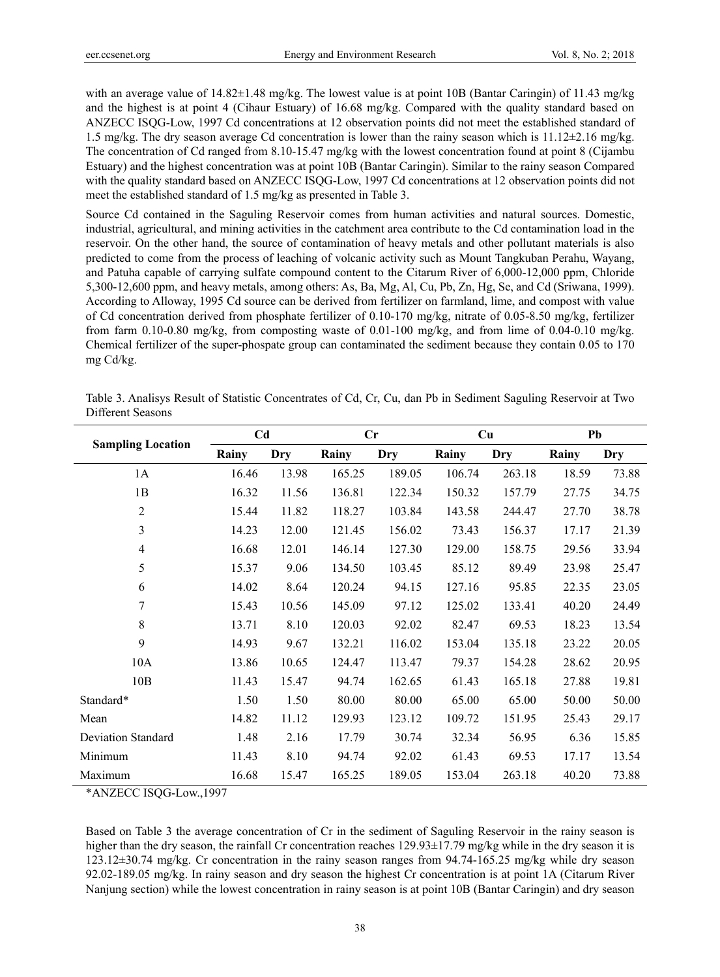with an average value of  $14.82\pm1.48$  mg/kg. The lowest value is at point 10B (Bantar Caringin) of 11.43 mg/kg and the highest is at point 4 (Cihaur Estuary) of 16.68 mg/kg. Compared with the quality standard based on ANZECC ISQG-Low, 1997 Cd concentrations at 12 observation points did not meet the established standard of 1.5 mg/kg. The dry season average Cd concentration is lower than the rainy season which is 11.12±2.16 mg/kg. The concentration of Cd ranged from 8.10-15.47 mg/kg with the lowest concentration found at point 8 (Cijambu Estuary) and the highest concentration was at point 10B (Bantar Caringin). Similar to the rainy season Compared with the quality standard based on ANZECC ISQG-Low, 1997 Cd concentrations at 12 observation points did not meet the established standard of 1.5 mg/kg as presented in Table 3.

Source Cd contained in the Saguling Reservoir comes from human activities and natural sources. Domestic, industrial, agricultural, and mining activities in the catchment area contribute to the Cd contamination load in the reservoir. On the other hand, the source of contamination of heavy metals and other pollutant materials is also predicted to come from the process of leaching of volcanic activity such as Mount Tangkuban Perahu, Wayang, and Patuha capable of carrying sulfate compound content to the Citarum River of 6,000-12,000 ppm, Chloride 5,300-12,600 ppm, and heavy metals, among others: As, Ba, Mg, Al, Cu, Pb, Zn, Hg, Se, and Cd (Sriwana, 1999). According to Alloway, 1995 Cd source can be derived from fertilizer on farmland, lime, and compost with value of Cd concentration derived from phosphate fertilizer of 0.10-170 mg/kg, nitrate of 0.05-8.50 mg/kg, fertilizer from farm 0.10-0.80 mg/kg, from composting waste of 0.01-100 mg/kg, and from lime of 0.04-0.10 mg/kg. Chemical fertilizer of the super-phospate group can contaminated the sediment because they contain 0.05 to 170 mg Cd/kg.

| Table 3. Analisys Result of Statistic Concentrates of Cd, Cr, Cu, dan Pb in Sediment Saguling Reservoir at Two |  |  |
|----------------------------------------------------------------------------------------------------------------|--|--|
| Different Seasons                                                                                              |  |  |

| <b>Sampling Location</b>  | C <sub>d</sub> |                            |        | Cr     |        | Cu     | Pb    |       |  |
|---------------------------|----------------|----------------------------|--------|--------|--------|--------|-------|-------|--|
|                           | Rainy          | <b>Dry</b><br>Rainy<br>Dry |        |        | Rainy  | Dry    | Rainy | Dry   |  |
| 1A                        | 16.46          | 13.98                      |        | 189.05 | 106.74 | 263.18 | 18.59 | 73.88 |  |
| 1B                        | 16.32          | 11.56                      | 136.81 | 122.34 | 150.32 | 157.79 | 27.75 | 34.75 |  |
| $\sqrt{2}$                | 15.44          | 11.82                      | 118.27 | 103.84 | 143.58 | 244.47 | 27.70 | 38.78 |  |
| 3                         | 14.23          | 12.00                      | 121.45 | 156.02 | 73.43  | 156.37 | 17.17 | 21.39 |  |
| $\overline{4}$            | 16.68          | 12.01                      | 146.14 | 127.30 | 129.00 | 158.75 | 29.56 | 33.94 |  |
| 5                         | 15.37          | 9.06                       | 134.50 | 103.45 | 85.12  | 89.49  | 23.98 | 25.47 |  |
| 6                         | 14.02          | 8.64                       | 120.24 | 94.15  | 127.16 | 95.85  | 22.35 | 23.05 |  |
| 7                         | 15.43          | 10.56                      | 145.09 | 97.12  | 125.02 | 133.41 | 40.20 | 24.49 |  |
| 8                         | 13.71          | 8.10                       | 120.03 | 92.02  | 82.47  | 69.53  | 18.23 | 13.54 |  |
| 9                         | 14.93          | 9.67                       | 132.21 | 116.02 | 153.04 | 135.18 | 23.22 | 20.05 |  |
| 10A                       | 13.86          | 10.65                      | 124.47 | 113.47 | 79.37  | 154.28 | 28.62 | 20.95 |  |
| 10B                       | 11.43          | 15.47                      | 94.74  | 162.65 | 61.43  | 165.18 | 27.88 | 19.81 |  |
| Standard*                 | 1.50           | 1.50                       | 80.00  | 80.00  | 65.00  | 65.00  | 50.00 | 50.00 |  |
| Mean                      | 14.82          | 11.12                      | 129.93 | 123.12 | 109.72 | 151.95 | 25.43 | 29.17 |  |
| <b>Deviation Standard</b> | 1.48           | 2.16                       | 17.79  | 30.74  | 32.34  | 56.95  | 6.36  | 15.85 |  |
| Minimum                   | 11.43          | 8.10                       | 94.74  | 92.02  | 61.43  | 69.53  | 17.17 | 13.54 |  |
| Maximum                   | 16.68          | 15.47                      | 165.25 | 189.05 | 153.04 | 263.18 | 40.20 | 73.88 |  |

\*ANZECC ISQG-Low.,1997

Based on Table 3 the average concentration of Cr in the sediment of Saguling Reservoir in the rainy season is higher than the dry season, the rainfall Cr concentration reaches 129.93 $\pm$ 17.79 mg/kg while in the dry season it is 123.12±30.74 mg/kg. Cr concentration in the rainy season ranges from 94.74-165.25 mg/kg while dry season 92.02-189.05 mg/kg. In rainy season and dry season the highest Cr concentration is at point 1A (Citarum River Nanjung section) while the lowest concentration in rainy season is at point 10B (Bantar Caringin) and dry season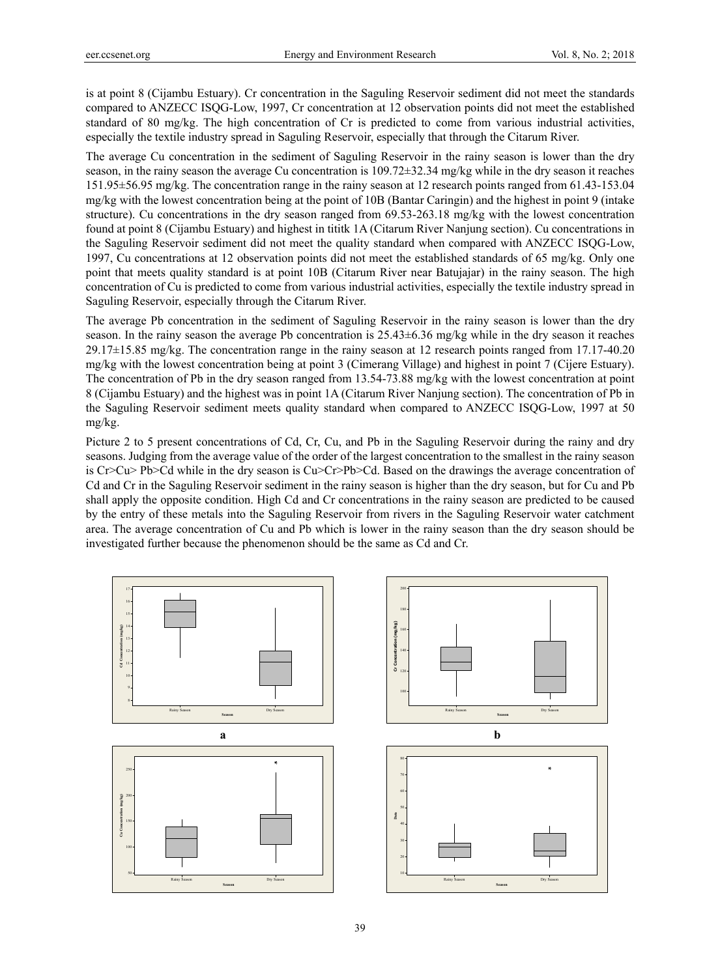is at point 8 (Cijambu Estuary). Cr concentration in the Saguling Reservoir sediment did not meet the standards compared to ANZECC ISQG-Low, 1997, Cr concentration at 12 observation points did not meet the established standard of 80 mg/kg. The high concentration of Cr is predicted to come from various industrial activities, especially the textile industry spread in Saguling Reservoir, especially that through the Citarum River.

The average Cu concentration in the sediment of Saguling Reservoir in the rainy season is lower than the dry season, in the rainy season the average Cu concentration is  $109.72\pm32.34$  mg/kg while in the dry season it reaches 151.95±56.95 mg/kg. The concentration range in the rainy season at 12 research points ranged from 61.43-153.04 mg/kg with the lowest concentration being at the point of 10B (Bantar Caringin) and the highest in point 9 (intake structure). Cu concentrations in the dry season ranged from 69.53-263.18 mg/kg with the lowest concentration found at point 8 (Cijambu Estuary) and highest in tititk 1A (Citarum River Nanjung section). Cu concentrations in the Saguling Reservoir sediment did not meet the quality standard when compared with ANZECC ISQG-Low, 1997, Cu concentrations at 12 observation points did not meet the established standards of 65 mg/kg. Only one point that meets quality standard is at point 10B (Citarum River near Batujajar) in the rainy season. The high concentration of Cu is predicted to come from various industrial activities, especially the textile industry spread in Saguling Reservoir, especially through the Citarum River.

The average Pb concentration in the sediment of Saguling Reservoir in the rainy season is lower than the dry season. In the rainy season the average Pb concentration is 25.43±6.36 mg/kg while in the dry season it reaches 29.17±15.85 mg/kg. The concentration range in the rainy season at 12 research points ranged from 17.17-40.20 mg/kg with the lowest concentration being at point 3 (Cimerang Village) and highest in point 7 (Cijere Estuary). The concentration of Pb in the dry season ranged from 13.54-73.88 mg/kg with the lowest concentration at point 8 (Cijambu Estuary) and the highest was in point 1A (Citarum River Nanjung section). The concentration of Pb in the Saguling Reservoir sediment meets quality standard when compared to ANZECC ISQG-Low, 1997 at 50 mg/kg.

Picture 2 to 5 present concentrations of Cd, Cr, Cu, and Pb in the Saguling Reservoir during the rainy and dry seasons. Judging from the average value of the order of the largest concentration to the smallest in the rainy season is Cr>Cu> Pb>Cd while in the dry season is Cu>Cr>Pb>Cd. Based on the drawings the average concentration of Cd and Cr in the Saguling Reservoir sediment in the rainy season is higher than the dry season, but for Cu and Pb shall apply the opposite condition. High Cd and Cr concentrations in the rainy season are predicted to be caused by the entry of these metals into the Saguling Reservoir from rivers in the Saguling Reservoir water catchment area. The average concentration of Cu and Pb which is lower in the rainy season than the dry season should be investigated further because the phenomenon should be the same as Cd and Cr.

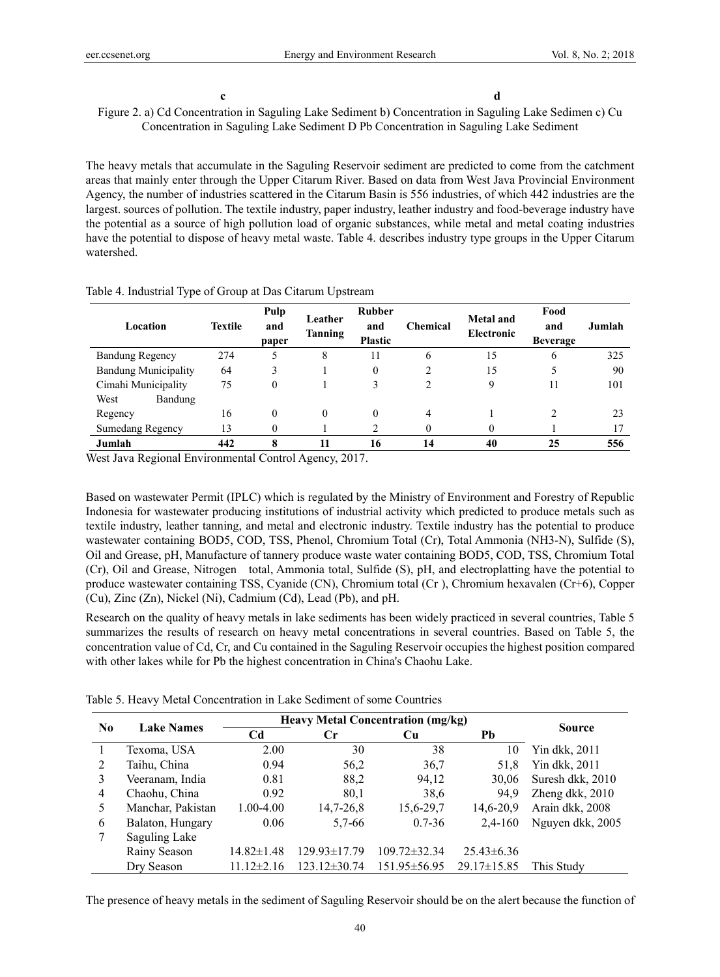c d c and c and c and c and c and c and c and c and c and c and c and c and c and c and c and c and c and c and c and c and c and c and c and c and c and c and c and c and c and c and c and c and c and c and c and c and c

Figure 2. a) Cd Concentration in Saguling Lake Sediment b) Concentration in Saguling Lake Sedimen c) Cu Concentration in Saguling Lake Sediment D Pb Concentration in Saguling Lake Sediment

The heavy metals that accumulate in the Saguling Reservoir sediment are predicted to come from the catchment areas that mainly enter through the Upper Citarum River. Based on data from West Java Provincial Environment Agency, the number of industries scattered in the Citarum Basin is 556 industries, of which 442 industries are the largest. sources of pollution. The textile industry, paper industry, leather industry and food-beverage industry have the potential as a source of high pollution load of organic substances, while metal and metal coating industries have the potential to dispose of heavy metal waste. Table 4. describes industry type groups in the Upper Citarum watershed.

| Location                    | <b>Textile</b> | Pulp<br>and<br>paper | Leather<br>Tanning | <b>Rubber</b><br>and<br><b>Plastic</b> | <b>Chemical</b> | <b>Metal and</b><br>Electronic | Food<br>and<br><b>Beverage</b> | Jumlah |
|-----------------------------|----------------|----------------------|--------------------|----------------------------------------|-----------------|--------------------------------|--------------------------------|--------|
| <b>Bandung Regency</b>      | 274            | 5                    | 8                  | 11                                     | 6               | 15                             | 6                              | 325    |
| <b>Bandung Municipality</b> | 64             | 3                    |                    | $\theta$                               |                 | 15                             | 5                              | 90     |
| Cimahi Municipality         | 75             | 0                    |                    | 3                                      |                 | 9                              | 11                             | 101    |
| West<br>Bandung             |                |                      |                    |                                        |                 |                                |                                |        |
| Regency                     | 16             | $\theta$             | $\theta$           | $\theta$                               | 4               |                                |                                | 23     |
| Sumedang Regency            | 13             | 0                    |                    | ↑                                      |                 |                                |                                |        |
| Jumlah                      | 442            | 8                    | 11                 | 16                                     | 14              | 40                             | 25                             | 556    |

Table 4. Industrial Type of Group at Das Citarum Upstream

West Java Regional Environmental Control Agency, 2017.

Based on wastewater Permit (IPLC) which is regulated by the Ministry of Environment and Forestry of Republic Indonesia for wastewater producing institutions of industrial activity which predicted to produce metals such as textile industry, leather tanning, and metal and electronic industry. Textile industry has the potential to produce wastewater containing BOD5, COD, TSS, Phenol, Chromium Total (Cr), Total Ammonia (NH3-N), Sulfide (S), Oil and Grease, pH, Manufacture of tannery produce waste water containing BOD5, COD, TSS, Chromium Total (Cr), Oil and Grease, Nitrogen total, Ammonia total, Sulfide (S), pH, and electroplatting have the potential to produce wastewater containing TSS, Cyanide (CN), Chromium total (Cr ), Chromium hexavalen (Cr+6), Copper (Cu), Zinc (Zn), Nickel (Ni), Cadmium (Cd), Lead (Pb), and pH.

Research on the quality of heavy metals in lake sediments has been widely practiced in several countries, Table 5 summarizes the results of research on heavy metal concentrations in several countries. Based on Table 5, the concentration value of Cd, Cr, and Cu contained in the Saguling Reservoir occupies the highest position compared with other lakes while for Pb the highest concentration in China's Chaohu Lake.

|  | Table 5. Heavy Metal Concentration in Lake Sediment of some Countries |  |  |
|--|-----------------------------------------------------------------------|--|--|
|--|-----------------------------------------------------------------------|--|--|

|    |                   | <b>Heavy Metal Concentration (mg/kg)</b> |                    |                    |                   |                  |
|----|-------------------|------------------------------------------|--------------------|--------------------|-------------------|------------------|
| No | <b>Lake Names</b> | Cd                                       | Сr<br>Cu           |                    | Pb                | Source           |
|    | Texoma, USA       | 2.00                                     | 30                 | 38                 | 10                | Yin dkk, 2011    |
| 2  | Taihu, China      | 0.94                                     | 56,2               | 36,7               | 51.8              | Yin dkk, 2011    |
| 3  | Veeranam, India   | 0.81                                     | 88,2               | 94,12              | 30.06             | Suresh dkk, 2010 |
| 4  | Chaohu, China     | 0.92                                     | 80.1               | 38,6               | 94.9              | Zheng dkk, 2010  |
| 5  | Manchar, Pakistan | 1.00-4.00                                | 14,7-26,8          | 15,6-29,7          | 14.6-20.9         | Arain dkk, 2008  |
| 6  | Balaton, Hungary  | 0.06                                     | $5,7-66$           | $0.7 - 36$         | 2,4-160           | Nguyen dkk, 2005 |
| 7  | Saguling Lake     |                                          |                    |                    |                   |                  |
|    | Rainy Season      | $14.82 \pm 1.48$                         | $129.93 \pm 17.79$ | $109.72 \pm 32.34$ | $25.43\pm 6.36$   |                  |
|    | Dry Season        | $11.12 \pm 2.16$                         | $123.12 \pm 30.74$ | $151.95 \pm 56.95$ | $29.17 \pm 15.85$ | This Study       |

The presence of heavy metals in the sediment of Saguling Reservoir should be on the alert because the function of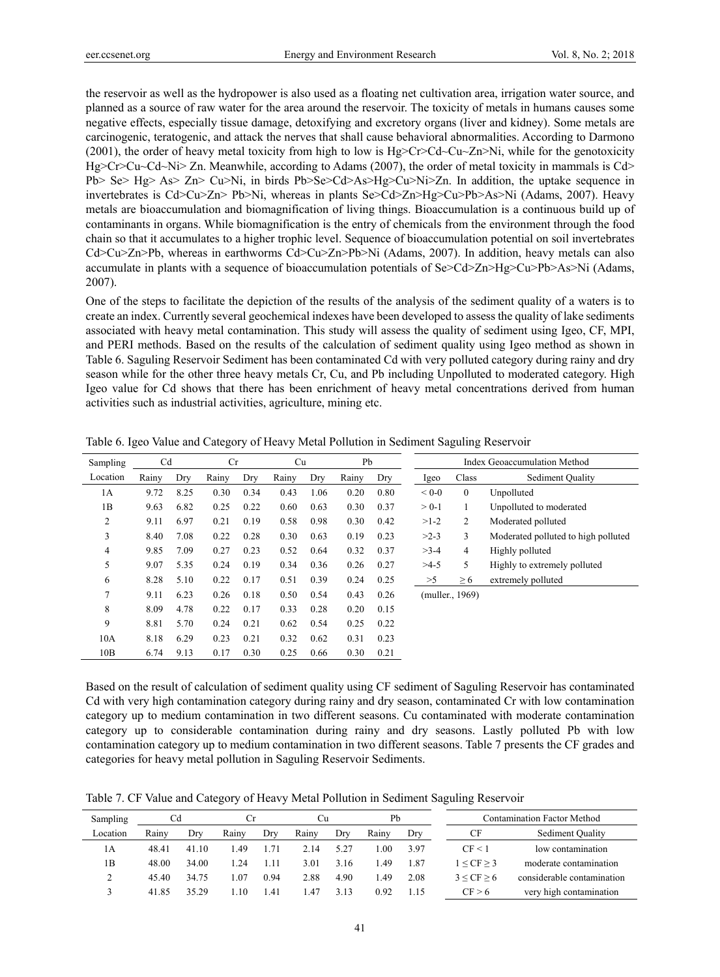the reservoir as well as the hydropower is also used as a floating net cultivation area, irrigation water source, and planned as a source of raw water for the area around the reservoir. The toxicity of metals in humans causes some negative effects, especially tissue damage, detoxifying and excretory organs (liver and kidney). Some metals are carcinogenic, teratogenic, and attack the nerves that shall cause behavioral abnormalities. According to Darmono (2001), the order of heavy metal toxicity from high to low is Hg>Cr>Cd~Cu~Zn>Ni, while for the genotoxicity Hg>Cr>Cu~Cd~Ni> Zn. Meanwhile, according to Adams (2007), the order of metal toxicity in mammals is Cd> Pb> Se> Hg> As> Zn> Cu>Ni, in birds Pb>Se>Cd>As>Hg>Cu>Ni>Zn. In addition, the uptake sequence in invertebrates is Cd>Cu>Zn> Pb>Ni, whereas in plants Se>Cd>Zn>Hg>Cu>Pb>As>Ni (Adams, 2007). Heavy metals are bioaccumulation and biomagnification of living things. Bioaccumulation is a continuous build up of contaminants in organs. While biomagnification is the entry of chemicals from the environment through the food chain so that it accumulates to a higher trophic level. Sequence of bioaccumulation potential on soil invertebrates Cd>Cu>Zn>Pb, whereas in earthworms Cd>Cu>Zn>Pb>Ni (Adams, 2007). In addition, heavy metals can also accumulate in plants with a sequence of bioaccumulation potentials of Se>Cd>Zn>Hg>Cu>Pb>As>Ni (Adams, 2007).

One of the steps to facilitate the depiction of the results of the analysis of the sediment quality of a waters is to create an index. Currently several geochemical indexes have been developed to assess the quality of lake sediments associated with heavy metal contamination. This study will assess the quality of sediment using Igeo, CF, MPI, and PERI methods. Based on the results of the calculation of sediment quality using Igeo method as shown in Table 6. Saguling Reservoir Sediment has been contaminated Cd with very polluted category during rainy and dry season while for the other three heavy metals Cr, Cu, and Pb including Unpolluted to moderated category. High Igeo value for Cd shows that there has been enrichment of heavy metal concentrations derived from human activities such as industrial activities, agriculture, mining etc.

| Sampling       | C <sub>d</sub> |      | Cr    |      | Cu    |      | Pb    |      |           |                 | Index Geoaccumulation Method        |
|----------------|----------------|------|-------|------|-------|------|-------|------|-----------|-----------------|-------------------------------------|
| Location       | Rainy          | Dry  | Rainy | Dry  | Rainy | Dry  | Rainy | Dry  | Igeo      | Class           | Sediment Quality                    |
| 1A             | 9.72           | 8.25 | 0.30  | 0.34 | 0.43  | 1.06 | 0.20  | 0.80 | $< 0 - 0$ | $\mathbf{0}$    | Unpolluted                          |
| 1B             | 9.63           | 6.82 | 0.25  | 0.22 | 0.60  | 0.63 | 0.30  | 0.37 | $> 0-1$   | 1               | Unpolluted to moderated             |
| $\overline{2}$ | 9.11           | 6.97 | 0.21  | 0.19 | 0.58  | 0.98 | 0.30  | 0.42 | $>1-2$    | 2               | Moderated polluted                  |
| 3              | 8.40           | 7.08 | 0.22  | 0.28 | 0.30  | 0.63 | 0.19  | 0.23 | $>2-3$    | 3               | Moderated polluted to high polluted |
| 4              | 9.85           | 7.09 | 0.27  | 0.23 | 0.52  | 0.64 | 0.32  | 0.37 | $>3-4$    | $\overline{4}$  | Highly polluted                     |
| 5              | 9.07           | 5.35 | 0.24  | 0.19 | 0.34  | 0.36 | 0.26  | 0.27 | $>4-5$    | 5               | Highly to extremely polluted        |
| 6              | 8.28           | 5.10 | 0.22  | 0.17 | 0.51  | 0.39 | 0.24  | 0.25 | >5        | $\geq 6$        | extremely polluted                  |
| $\overline{7}$ | 9.11           | 6.23 | 0.26  | 0.18 | 0.50  | 0.54 | 0.43  | 0.26 |           | (muller., 1969) |                                     |
| 8              | 8.09           | 4.78 | 0.22  | 0.17 | 0.33  | 0.28 | 0.20  | 0.15 |           |                 |                                     |
| 9              | 8.81           | 5.70 | 0.24  | 0.21 | 0.62  | 0.54 | 0.25  | 0.22 |           |                 |                                     |
| 10A            | 8.18           | 6.29 | 0.23  | 0.21 | 0.32  | 0.62 | 0.31  | 0.23 |           |                 |                                     |
| 10B            | 6.74           | 9.13 | 0.17  | 0.30 | 0.25  | 0.66 | 0.30  | 0.21 |           |                 |                                     |
|                |                |      |       |      |       |      |       |      |           |                 |                                     |

Table 6. Igeo Value and Category of Heavy Metal Pollution in Sediment Saguling Reservoir

Based on the result of calculation of sediment quality using CF sediment of Saguling Reservoir has contaminated Cd with very high contamination category during rainy and dry season, contaminated Cr with low contamination category up to medium contamination in two different seasons. Cu contaminated with moderate contamination category up to considerable contamination during rainy and dry seasons. Lastly polluted Pb with low contamination category up to medium contamination in two different seasons. Table 7 presents the CF grades and categories for heavy metal pollution in Saguling Reservoir Sediments.

Table 7. CF Value and Category of Heavy Metal Pollution in Sediment Saguling Reservoir

| Sampling | Cd    |       |       |      | Сu    |      | Pb    |      |            | Contamination Factor Method |
|----------|-------|-------|-------|------|-------|------|-------|------|------------|-----------------------------|
| Location | Rainv | Dry   | Rainv | Dry  | Rainy | Dry  | Rainv | Dry  | CF         | Sediment Quality            |
| 1 A      | 48.41 | 41.10 | 49. ا | 1.71 | 2.14  | 5.27 | .00   | 3.97 | CF < 1     | low contamination           |
| 1B       | 48.00 | 34.00 | .24   | 1.11 | 3.01  | 3.16 | .49   | 1.87 | 1 < CF > 3 | moderate contamination      |
|          | 45.40 | 34.75 | .07   | 0.94 | 2.88  | 4.90 | .49   | 2.08 | 3 < CF > 6 | considerable contamination  |
|          | 41.85 | 35.29 | .10   | 1.41 | 1.47  | 3.13 | 0.92  | 1.5  | CF > 6     | very high contamination     |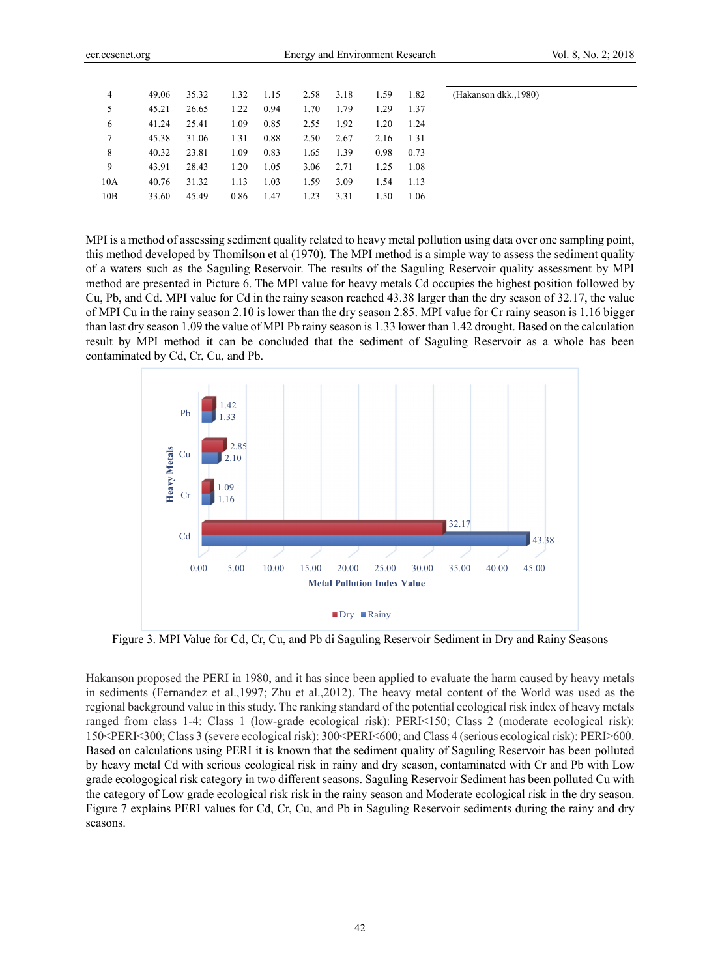(Hakanson dkk.,1980)

| $\overline{4}$ | 49.06 | 35.32 | 1.32 | 1.15 | 2.58 | 3.18 | 1.59 | 1.82 |  |
|----------------|-------|-------|------|------|------|------|------|------|--|
| 5              | 45.21 | 26.65 | 1.22 | 0.94 | 1.70 | 1.79 | 1.29 | 1.37 |  |
| 6              | 41.24 | 25.41 | 1.09 | 0.85 | 2.55 | 1.92 | 1.20 | 1.24 |  |
|                | 45.38 | 31.06 | 1.31 | 0.88 | 2.50 | 2.67 | 2.16 | 1.31 |  |
| 8              | 40.32 | 23.81 | 1.09 | 0.83 | 1.65 | 1.39 | 0.98 | 0.73 |  |
| 9              | 43.91 | 28.43 | 1.20 | 1.05 | 3.06 | 2.71 | 1.25 | 1.08 |  |
| 10A            | 40.76 | 31.32 | 1.13 | 1.03 | 1.59 | 3.09 | 1.54 | 1.13 |  |
| 10B            | 33.60 | 45.49 | 0.86 | 1.47 | 1.23 | 3.31 | 1.50 | 1.06 |  |

MPI is a method of assessing sediment quality related to heavy metal pollution using data over one sampling point, this method developed by Thomilson et al (1970). The MPI method is a simple way to assess the sediment quality of a waters such as the Saguling Reservoir. The results of the Saguling Reservoir quality assessment by MPI method are presented in Picture 6. The MPI value for heavy metals Cd occupies the highest position followed by Cu, Pb, and Cd. MPI value for Cd in the rainy season reached 43.38 larger than the dry season of 32.17, the value of MPI Cu in the rainy season 2.10 is lower than the dry season 2.85. MPI value for Cr rainy season is 1.16 bigger than last dry season 1.09 the value of MPI Pb rainy season is 1.33 lower than 1.42 drought. Based on the calculation result by MPI method it can be concluded that the sediment of Saguling Reservoir as a whole has been contaminated by Cd, Cr, Cu, and Pb.



Figure 3. MPI Value for Cd, Cr, Cu, and Pb di Saguling Reservoir Sediment in Dry and Rainy Seasons

Hakanson proposed the PERI in 1980, and it has since been applied to evaluate the harm caused by heavy metals in sediments (Fernandez et al.,1997; Zhu et al.,2012). The heavy metal content of the World was used as the regional background value in this study. The ranking standard of the potential ecological risk index of heavy metals ranged from class 1-4: Class 1 (low-grade ecological risk): PERI<150; Class 2 (moderate ecological risk): 150<PERI<300; Class 3 (severe ecological risk): 300<PERI<600; and Class 4 (serious ecological risk): PERI>600. Based on calculations using PERI it is known that the sediment quality of Saguling Reservoir has been polluted by heavy metal Cd with serious ecological risk in rainy and dry season, contaminated with Cr and Pb with Low grade ecologogical risk category in two different seasons. Saguling Reservoir Sediment has been polluted Cu with the category of Low grade ecological risk risk in the rainy season and Moderate ecological risk in the dry season. Figure 7 explains PERI values for Cd, Cr, Cu, and Pb in Saguling Reservoir sediments during the rainy and dry seasons.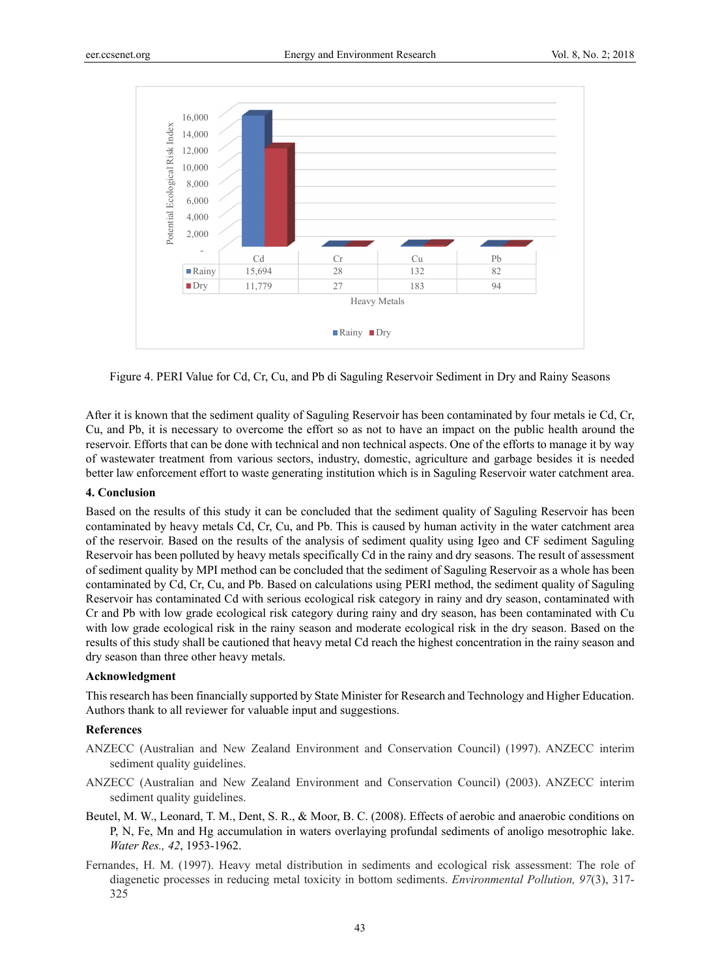

Figure 4. PERI Value for Cd, Cr, Cu, and Pb di Saguling Reservoir Sediment in Dry and Rainy Seasons

After it is known that the sediment quality of Saguling Reservoir has been contaminated by four metals ie Cd, Cr, Cu, and Pb, it is necessary to overcome the effort so as not to have an impact on the public health around the reservoir. Efforts that can be done with technical and non technical aspects. One of the efforts to manage it by way of wastewater treatment from various sectors, industry, domestic, agriculture and garbage besides it is needed better law enforcement effort to waste generating institution which is in Saguling Reservoir water catchment area.

# **4. Conclusion**

Based on the results of this study it can be concluded that the sediment quality of Saguling Reservoir has been contaminated by heavy metals Cd, Cr, Cu, and Pb. This is caused by human activity in the water catchment area of the reservoir. Based on the results of the analysis of sediment quality using Igeo and CF sediment Saguling Reservoir has been polluted by heavy metals specifically Cd in the rainy and dry seasons. The result of assessment of sediment quality by MPI method can be concluded that the sediment of Saguling Reservoir as a whole has been contaminated by Cd, Cr, Cu, and Pb. Based on calculations using PERI method, the sediment quality of Saguling Reservoir has contaminated Cd with serious ecological risk category in rainy and dry season, contaminated with Cr and Pb with low grade ecological risk category during rainy and dry season, has been contaminated with Cu with low grade ecological risk in the rainy season and moderate ecological risk in the dry season. Based on the results of this study shall be cautioned that heavy metal Cd reach the highest concentration in the rainy season and dry season than three other heavy metals.

# **Acknowledgment**

This research has been financially supported by State Minister for Research and Technology and Higher Education. Authors thank to all reviewer for valuable input and suggestions.

# **References**

- ANZECC (Australian and New Zealand Environment and Conservation Council) (1997). ANZECC interim sediment quality guidelines.
- ANZECC (Australian and New Zealand Environment and Conservation Council) (2003). ANZECC interim sediment quality guidelines.
- Beutel, M. W., Leonard, T. M., Dent, S. R., & Moor, B. C. (2008). Effects of aerobic and anaerobic conditions on P, N, Fe, Mn and Hg accumulation in waters overlaying profundal sediments of anoligo mesotrophic lake. *Water Res., 42*, 1953-1962.
- Fernandes, H. M. (1997). Heavy metal distribution in sediments and ecological risk assessment: The role of diagenetic processes in reducing metal toxicity in bottom sediments. *Environmental Pollution, 97*(3), 317- 325